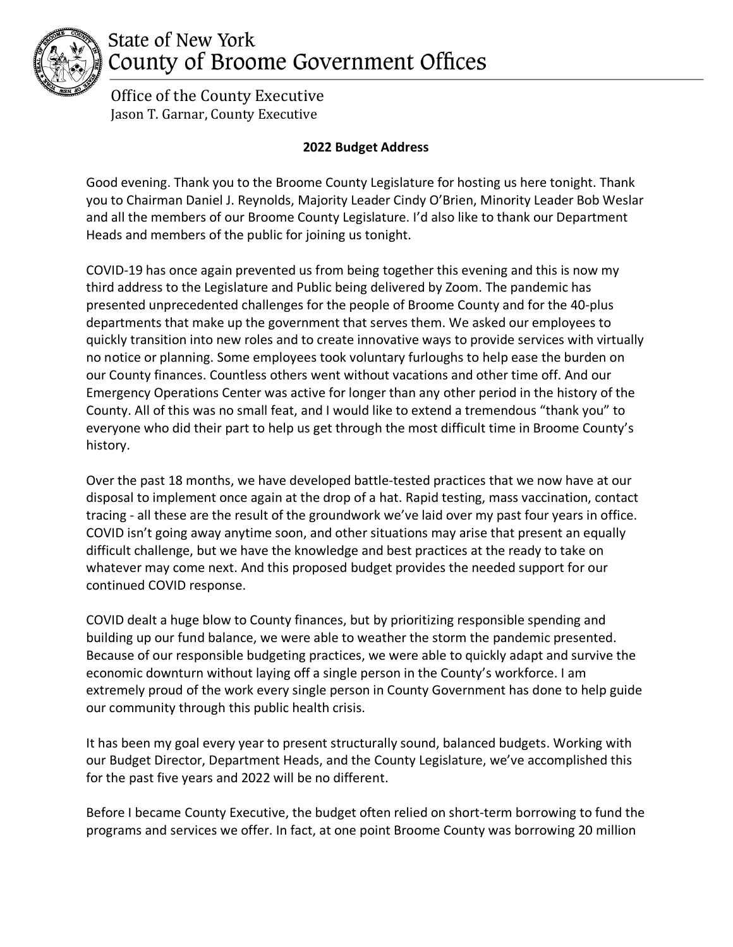

## **State of New York** County of Broome Government Offices

 Office of the County Executive Jason T. Garnar, County Executive

## **2022 Budget Address**

Good evening. Thank you to the Broome County Legislature for hosting us here tonight. Thank you to Chairman Daniel J. Reynolds, Majority Leader Cindy O'Brien, Minority Leader Bob Weslar and all the members of our Broome County Legislature. I'd also like to thank our Department Heads and members of the public for joining us tonight.

COVID-19 has once again prevented us from being together this evening and this is now my third address to the Legislature and Public being delivered by Zoom. The pandemic has presented unprecedented challenges for the people of Broome County and for the 40-plus departments that make up the government that serves them. We asked our employees to quickly transition into new roles and to create innovative ways to provide services with virtually no notice or planning. Some employees took voluntary furloughs to help ease the burden on our County finances. Countless others went without vacations and other time off. And our Emergency Operations Center was active for longer than any other period in the history of the County. All of this was no small feat, and I would like to extend a tremendous "thank you" to everyone who did their part to help us get through the most difficult time in Broome County's history.

Over the past 18 months, we have developed battle-tested practices that we now have at our disposal to implement once again at the drop of a hat. Rapid testing, mass vaccination, contact tracing - all these are the result of the groundwork we've laid over my past four years in office. COVID isn't going away anytime soon, and other situations may arise that present an equally difficult challenge, but we have the knowledge and best practices at the ready to take on whatever may come next. And this proposed budget provides the needed support for our continued COVID response.

COVID dealt a huge blow to County finances, but by prioritizing responsible spending and building up our fund balance, we were able to weather the storm the pandemic presented. Because of our responsible budgeting practices, we were able to quickly adapt and survive the economic downturn without laying off a single person in the County's workforce. I am extremely proud of the work every single person in County Government has done to help guide our community through this public health crisis.

It has been my goal every year to present structurally sound, balanced budgets. Working with our Budget Director, Department Heads, and the County Legislature, we've accomplished this for the past five years and 2022 will be no different.

Before I became County Executive, the budget often relied on short-term borrowing to fund the programs and services we offer. In fact, at one point Broome County was borrowing 20 million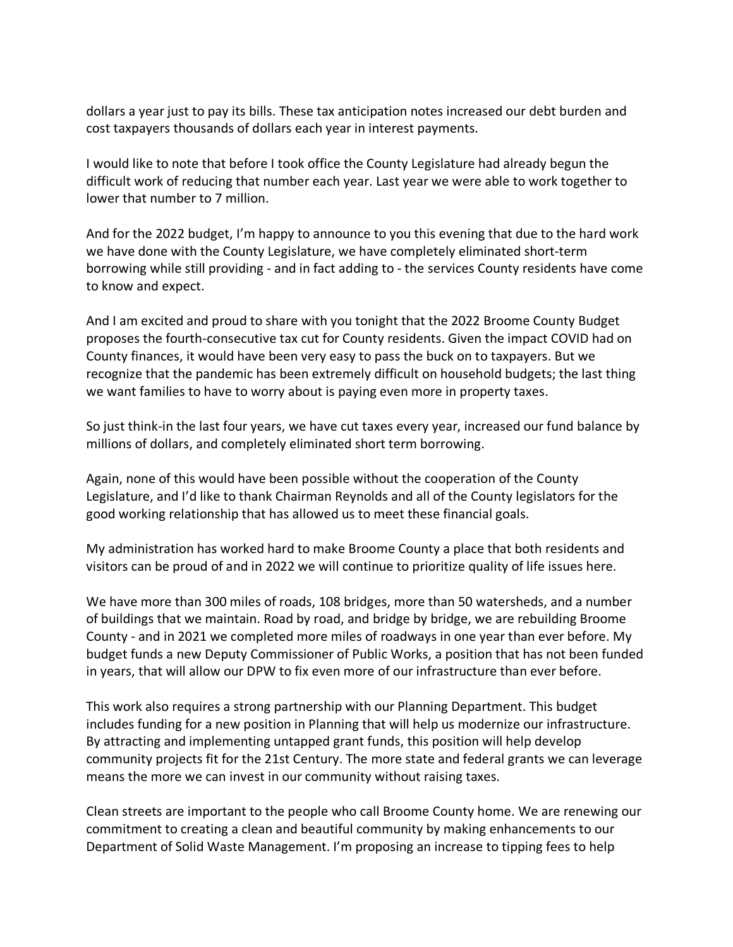dollars a year just to pay its bills. These tax anticipation notes increased our debt burden and cost taxpayers thousands of dollars each year in interest payments.

I would like to note that before I took office the County Legislature had already begun the difficult work of reducing that number each year. Last year we were able to work together to lower that number to 7 million.

And for the 2022 budget, I'm happy to announce to you this evening that due to the hard work we have done with the County Legislature, we have completely eliminated short-term borrowing while still providing - and in fact adding to - the services County residents have come to know and expect.

And I am excited and proud to share with you tonight that the 2022 Broome County Budget proposes the fourth-consecutive tax cut for County residents. Given the impact COVID had on County finances, it would have been very easy to pass the buck on to taxpayers. But we recognize that the pandemic has been extremely difficult on household budgets; the last thing we want families to have to worry about is paying even more in property taxes.

So just think-in the last four years, we have cut taxes every year, increased our fund balance by millions of dollars, and completely eliminated short term borrowing.

Again, none of this would have been possible without the cooperation of the County Legislature, and I'd like to thank Chairman Reynolds and all of the County legislators for the good working relationship that has allowed us to meet these financial goals.

My administration has worked hard to make Broome County a place that both residents and visitors can be proud of and in 2022 we will continue to prioritize quality of life issues here.

We have more than 300 miles of roads, 108 bridges, more than 50 watersheds, and a number of buildings that we maintain. Road by road, and bridge by bridge, we are rebuilding Broome County - and in 2021 we completed more miles of roadways in one year than ever before. My budget funds a new Deputy Commissioner of Public Works, a position that has not been funded in years, that will allow our DPW to fix even more of our infrastructure than ever before.

This work also requires a strong partnership with our Planning Department. This budget includes funding for a new position in Planning that will help us modernize our infrastructure. By attracting and implementing untapped grant funds, this position will help develop community projects fit for the 21st Century. The more state and federal grants we can leverage means the more we can invest in our community without raising taxes.

Clean streets are important to the people who call Broome County home. We are renewing our commitment to creating a clean and beautiful community by making enhancements to our Department of Solid Waste Management. I'm proposing an increase to tipping fees to help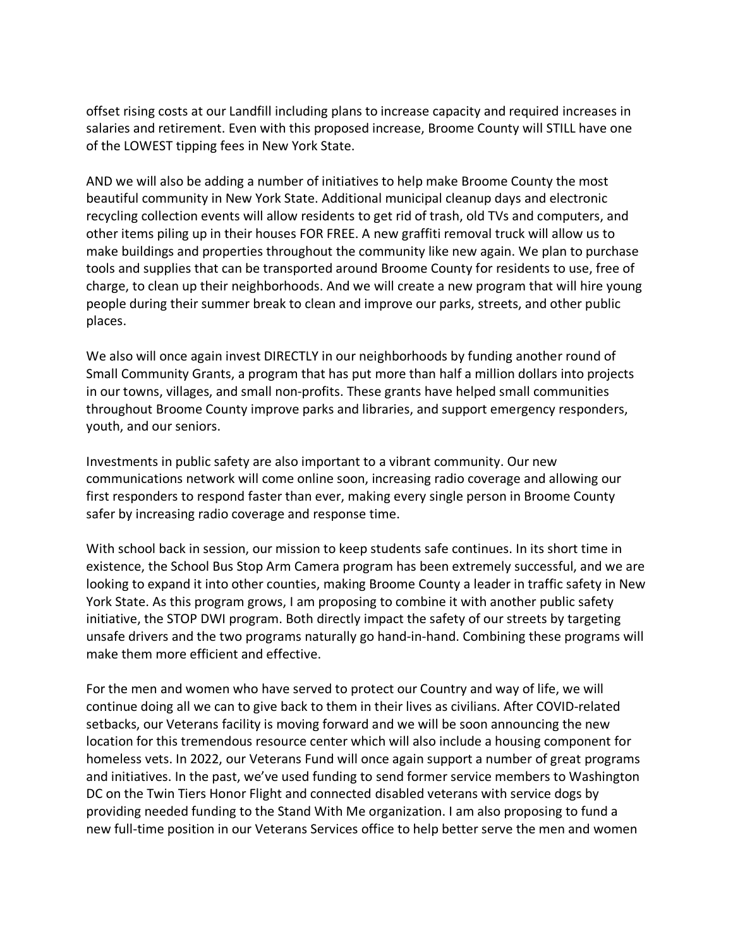offset rising costs at our Landfill including plans to increase capacity and required increases in salaries and retirement. Even with this proposed increase, Broome County will STILL have one of the LOWEST tipping fees in New York State.

AND we will also be adding a number of initiatives to help make Broome County the most beautiful community in New York State. Additional municipal cleanup days and electronic recycling collection events will allow residents to get rid of trash, old TVs and computers, and other items piling up in their houses FOR FREE. A new graffiti removal truck will allow us to make buildings and properties throughout the community like new again. We plan to purchase tools and supplies that can be transported around Broome County for residents to use, free of charge, to clean up their neighborhoods. And we will create a new program that will hire young people during their summer break to clean and improve our parks, streets, and other public places.

We also will once again invest DIRECTLY in our neighborhoods by funding another round of Small Community Grants, a program that has put more than half a million dollars into projects in our towns, villages, and small non-profits. These grants have helped small communities throughout Broome County improve parks and libraries, and support emergency responders, youth, and our seniors.

Investments in public safety are also important to a vibrant community. Our new communications network will come online soon, increasing radio coverage and allowing our first responders to respond faster than ever, making every single person in Broome County safer by increasing radio coverage and response time.

With school back in session, our mission to keep students safe continues. In its short time in existence, the School Bus Stop Arm Camera program has been extremely successful, and we are looking to expand it into other counties, making Broome County a leader in traffic safety in New York State. As this program grows, I am proposing to combine it with another public safety initiative, the STOP DWI program. Both directly impact the safety of our streets by targeting unsafe drivers and the two programs naturally go hand-in-hand. Combining these programs will make them more efficient and effective.

For the men and women who have served to protect our Country and way of life, we will continue doing all we can to give back to them in their lives as civilians. After COVID-related setbacks, our Veterans facility is moving forward and we will be soon announcing the new location for this tremendous resource center which will also include a housing component for homeless vets. In 2022, our Veterans Fund will once again support a number of great programs and initiatives. In the past, we've used funding to send former service members to Washington DC on the Twin Tiers Honor Flight and connected disabled veterans with service dogs by providing needed funding to the Stand With Me organization. I am also proposing to fund a new full-time position in our Veterans Services office to help better serve the men and women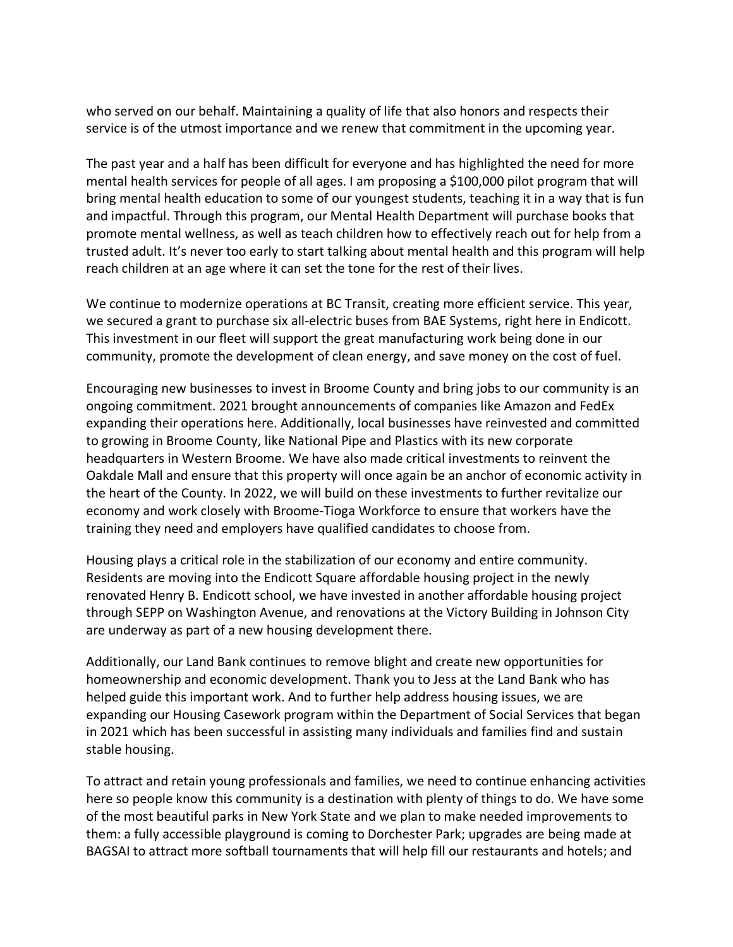who served on our behalf. Maintaining a quality of life that also honors and respects their service is of the utmost importance and we renew that commitment in the upcoming year.

The past year and a half has been difficult for everyone and has highlighted the need for more mental health services for people of all ages. I am proposing a \$100,000 pilot program that will bring mental health education to some of our youngest students, teaching it in a way that is fun and impactful. Through this program, our Mental Health Department will purchase books that promote mental wellness, as well as teach children how to effectively reach out for help from a trusted adult. It's never too early to start talking about mental health and this program will help reach children at an age where it can set the tone for the rest of their lives.

We continue to modernize operations at BC Transit, creating more efficient service. This year, we secured a grant to purchase six all-electric buses from BAE Systems, right here in Endicott. This investment in our fleet will support the great manufacturing work being done in our community, promote the development of clean energy, and save money on the cost of fuel.

Encouraging new businesses to invest in Broome County and bring jobs to our community is an ongoing commitment. 2021 brought announcements of companies like Amazon and FedEx expanding their operations here. Additionally, local businesses have reinvested and committed to growing in Broome County, like National Pipe and Plastics with its new corporate headquarters in Western Broome. We have also made critical investments to reinvent the Oakdale Mall and ensure that this property will once again be an anchor of economic activity in the heart of the County. In 2022, we will build on these investments to further revitalize our economy and work closely with Broome-Tioga Workforce to ensure that workers have the training they need and employers have qualified candidates to choose from.

Housing plays a critical role in the stabilization of our economy and entire community. Residents are moving into the Endicott Square affordable housing project in the newly renovated Henry B. Endicott school, we have invested in another affordable housing project through SEPP on Washington Avenue, and renovations at the Victory Building in Johnson City are underway as part of a new housing development there.

Additionally, our Land Bank continues to remove blight and create new opportunities for homeownership and economic development. Thank you to Jess at the Land Bank who has helped guide this important work. And to further help address housing issues, we are expanding our Housing Casework program within the Department of Social Services that began in 2021 which has been successful in assisting many individuals and families find and sustain stable housing.

To attract and retain young professionals and families, we need to continue enhancing activities here so people know this community is a destination with plenty of things to do. We have some of the most beautiful parks in New York State and we plan to make needed improvements to them: a fully accessible playground is coming to Dorchester Park; upgrades are being made at BAGSAI to attract more softball tournaments that will help fill our restaurants and hotels; and